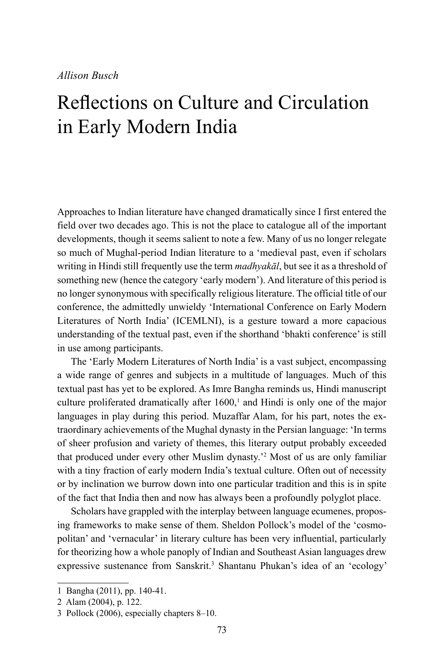# Reflections on Culture and Circulation in Early Modern India

Approaches to Indian literature have changed dramatically since I first entered the field over two decades ago. This is not the place to catalogue all of the important developments, though it seems salient to note a few. Many of us no longer relegate so much of Mughal-period Indian literature to a 'medieval past, even if scholars writing in Hindi still frequently use the term *madhyakāl*, but see it as a threshold of something new (hence the category 'early modern'). And literature of this period is no longer synonymous with specifically religious literature. The official title of our conference, the admittedly unwieldy 'International Conference on Early Modern Literatures of North India' (ICEMLNI), is a gesture toward a more capacious understanding of the textual past, even if the shorthand 'bhakti conference' is still in use among participants.

The 'Early Modern Literatures of North India' is a vast subject, encompassing a wide range of genres and subjects in a multitude of languages. Much of this textual past has yet to be explored. As Imre Bangha reminds us, Hindi manuscript culture proliferated dramatically after  $1600<sup>1</sup>$  and Hindi is only one of the major languages in play during this period. Muzaffar Alam, for his part, notes the extraordinary achievements of the Mughal dynasty in the Persian language: 'In terms of sheer profusion and variety of themes, this literary output probably exceeded that produced under every other Muslim dynasty.'<sup>2</sup> Most of us are only familiar with a tiny fraction of early modern India's textual culture. Often out of necessity or by inclination we burrow down into one particular tradition and this is in spite of the fact that India then and now has always been a profoundly polyglot place.

Scholars have grappled with the interplay between language ecumenes, proposing frameworks to make sense of them. Sheldon Pollock's model of the 'cosmopolitan' and 'vernacular' in literary culture has been very influential, particularly for theorizing how a whole panoply of Indian and Southeast Asian languages drew expressive sustenance from Sanskrit.<sup>3</sup> Shantanu Phukan's idea of an 'ecology'

<sup>1</sup> Bangha (2011), pp. 140-41.

<sup>2</sup> Alam (2004), p. 122.

<sup>3</sup> Pollock (2006), especially chapters 8–10.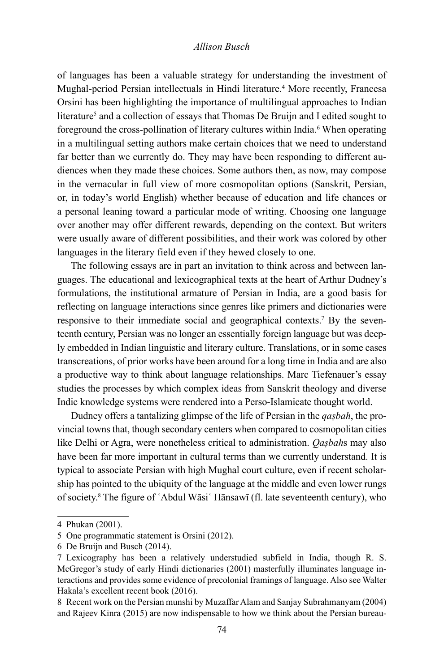of languages has been a valuable strategy for understanding the investment of Mughal-period Persian intellectuals in Hindi literature.4 More recently, Francesa Orsini has been highlighting the importance of multilingual approaches to Indian literature<sup>5</sup> and a collection of essays that Thomas De Bruijn and I edited sought to foreground the cross-pollination of literary cultures within India.<sup>6</sup> When operating in a multilingual setting authors make certain choices that we need to understand far better than we currently do. They may have been responding to different audiences when they made these choices. Some authors then, as now, may compose in the vernacular in full view of more cosmopolitan options (Sanskrit, Persian, or, in today's world English) whether because of education and life chances or a personal leaning toward a particular mode of writing. Choosing one language over another may offer different rewards, depending on the context. But writers were usually aware of different possibilities, and their work was colored by other languages in the literary field even if they hewed closely to one.

The following essays are in part an invitation to think across and between languages. The educational and lexicographical texts at the heart of Arthur Dudney's formulations, the institutional armature of Persian in India, are a good basis for reflecting on language interactions since genres like primers and dictionaries were responsive to their immediate social and geographical contexts.<sup>7</sup> By the seventeenth century, Persian was no longer an essentially foreign language but was deeply embedded in Indian linguistic and literary culture. Translations, or in some cases transcreations, of prior works have been around for a long time in India and are also a productive way to think about language relationships. Marc Tiefenauer's essay studies the processes by which complex ideas from Sanskrit theology and diverse Indic knowledge systems were rendered into a Perso-Islamicate thought world.

Dudney offers a tantalizing glimpse of the life of Persian in the *qaṣbah*, the provincial towns that, though secondary centers when compared to cosmopolitan cities like Delhi or Agra, were nonetheless critical to administration. *Qaṣbah*s may also have been far more important in cultural terms than we currently understand. It is typical to associate Persian with high Mughal court culture, even if recent scholarship has pointed to the ubiquity of the language at the middle and even lower rungs of society.8 The figure of ʿAbdul Wāsiʿ Hānsawī (fl. late seventeenth century), who

<sup>4</sup> Phukan (2001).

<sup>5</sup> One programmatic statement is Orsini (2012).

<sup>6</sup> De Bruijn and Busch (2014).

<sup>7</sup> Lexicography has been a relatively understudied subfield in India, though R. S. McGregor's study of early Hindi dictionaries (2001) masterfully illuminates language interactions and provides some evidence of precolonial framings of language. Also see Walter Hakala's excellent recent book (2016).

<sup>8</sup> Recent work on the Persian munshi by Muzaffar Alam and Sanjay Subrahmanyam (2004) and Rajeev Kinra (2015) are now indispensable to how we think about the Persian bureau-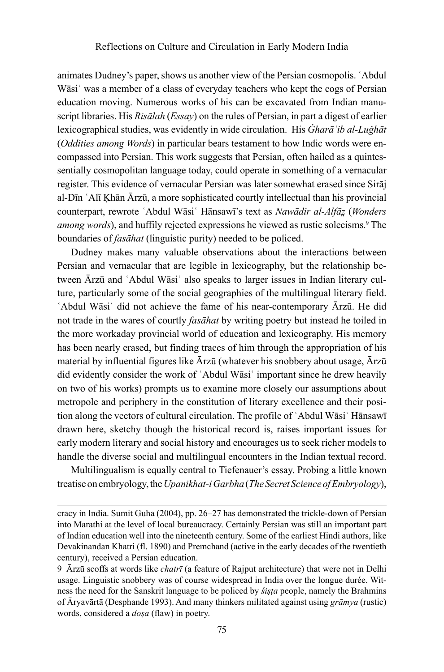animates Dudney's paper, shows us another view of the Persian cosmopolis. ʿAbdul Wāsi<sup>s</sup> was a member of a class of everyday teachers who kept the cogs of Persian education moving. Numerous works of his can be excavated from Indian manuscript libraries. His *Risālah* (*Essay*) on the rules of Persian, in part a digest of earlier lexicographical studies, was evidently in wide circulation. His *Ġharāʾib al-Luġhāt*  (*Oddities among Words*) in particular bears testament to how Indic words were encompassed into Persian. This work suggests that Persian, often hailed as a quintessentially cosmopolitan language today, could operate in something of a vernacular register. This evidence of vernacular Persian was later somewhat erased since Sirāj al-Dīn ʿAlī Ḳhān Ārzū, a more sophisticated courtly intellectual than his provincial counterpart, rewrote ʿAbdul Wāsiʿ Hānsawī's text as *Nawādir al-Alfāz̤* (*Wonders*  among words), and huffily rejected expressions he viewed as rustic solecisms.<sup>9</sup> The boundaries of *fasāhat* (linguistic purity) needed to be policed.

Dudney makes many valuable observations about the interactions between Persian and vernacular that are legible in lexicography, but the relationship between Ārzū and ʿAbdul Wāsiʿ also speaks to larger issues in Indian literary culture, particularly some of the social geographies of the multilingual literary field. ʿAbdul Wāsiʿ did not achieve the fame of his near-contemporary Ārzū. He did not trade in the wares of courtly *fasāhat* by writing poetry but instead he toiled in the more workaday provincial world of education and lexicography. His memory has been nearly erased, but finding traces of him through the appropriation of his material by influential figures like Ārzū (whatever his snobbery about usage, Ārzū did evidently consider the work of 'Abdul Wāsi' important since he drew heavily on two of his works) prompts us to examine more closely our assumptions about metropole and periphery in the constitution of literary excellence and their position along the vectors of cultural circulation. The profile of ʿAbdul Wāsiʿ Hānsawī drawn here, sketchy though the historical record is, raises important issues for early modern literary and social history and encourages us to seek richer models to handle the diverse social and multilingual encounters in the Indian textual record.

Multilingualism is equally central to Tiefenauer's essay. Probing a little known treatise on embryology, the *Upanikhat-i Garbha* (*The Secret Science of Embryology*),

cracy in India. Sumit Guha (2004), pp. 26–27 has demonstrated the trickle-down of Persian into Marathi at the level of local bureaucracy. Certainly Persian was still an important part of Indian education well into the nineteenth century. Some of the earliest Hindi authors, like Devakinandan Khatri (fl. 1890) and Premchand (active in the early decades of the twentieth century), received a Persian education.

<sup>9</sup> Ārzū scoffs at words like *chatrī* (a feature of Rajput architecture) that were not in Delhi usage. Linguistic snobbery was of course widespread in India over the longue durée. Witness the need for the Sanskrit language to be policed by *śiṣṭa* people, namely the Brahmins of Āryavārtā (Desphande 1993). And many thinkers militated against using *grāmya* (rustic) words, considered a *doṣa* (flaw) in poetry.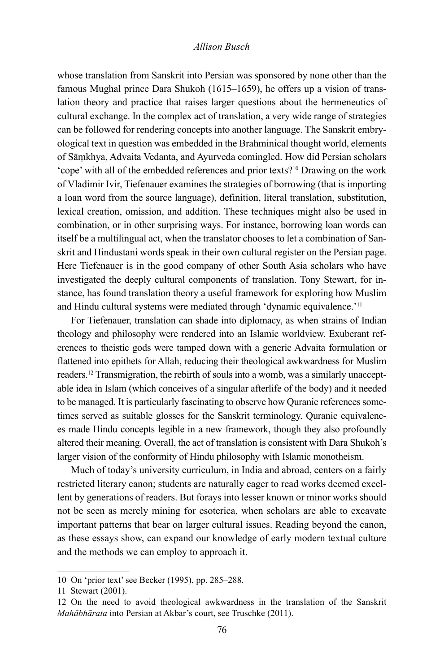whose translation from Sanskrit into Persian was sponsored by none other than the famous Mughal prince Dara Shukoh (1615–1659), he offers up a vision of translation theory and practice that raises larger questions about the hermeneutics of cultural exchange. In the complex act of translation, a very wide range of strategies can be followed for rendering concepts into another language. The Sanskrit embryological text in question was embedded in the Brahminical thought world, elements of Sāṃkhya, Advaita Vedanta, and Ayurveda comingled. How did Persian scholars 'cope' with all of the embedded references and prior texts?10 Drawing on the work of Vladimir Ivir, Tiefenauer examines the strategies of borrowing (that is importing a loan word from the source language), definition, literal translation, substitution, lexical creation, omission, and addition. These techniques might also be used in combination, or in other surprising ways. For instance, borrowing loan words can itself be a multilingual act, when the translator chooses to let a combination of Sanskrit and Hindustani words speak in their own cultural register on the Persian page. Here Tiefenauer is in the good company of other South Asia scholars who have investigated the deeply cultural components of translation. Tony Stewart, for instance, has found translation theory a useful framework for exploring how Muslim and Hindu cultural systems were mediated through 'dynamic equivalence.'11

For Tiefenauer, translation can shade into diplomacy, as when strains of Indian theology and philosophy were rendered into an Islamic worldview. Exuberant references to theistic gods were tamped down with a generic Advaita formulation or flattened into epithets for Allah, reducing their theological awkwardness for Muslim readers.12 Transmigration, the rebirth of souls into a womb, was a similarly unacceptable idea in Islam (which conceives of a singular afterlife of the body) and it needed to be managed. It is particularly fascinating to observe how Quranic references sometimes served as suitable glosses for the Sanskrit terminology. Quranic equivalences made Hindu concepts legible in a new framework, though they also profoundly altered their meaning. Overall, the act of translation is consistent with Dara Shukoh's larger vision of the conformity of Hindu philosophy with Islamic monotheism.

Much of today's university curriculum, in India and abroad, centers on a fairly restricted literary canon; students are naturally eager to read works deemed excellent by generations of readers. But forays into lesser known or minor works should not be seen as merely mining for esoterica, when scholars are able to excavate important patterns that bear on larger cultural issues. Reading beyond the canon, as these essays show, can expand our knowledge of early modern textual culture and the methods we can employ to approach it.

<sup>10</sup> On 'prior text' see Becker (1995), pp. 285–288.

<sup>11</sup> Stewart (2001).

<sup>12</sup> On the need to avoid theological awkwardness in the translation of the Sanskrit *Mahābhārata* into Persian at Akbar's court, see Truschke (2011).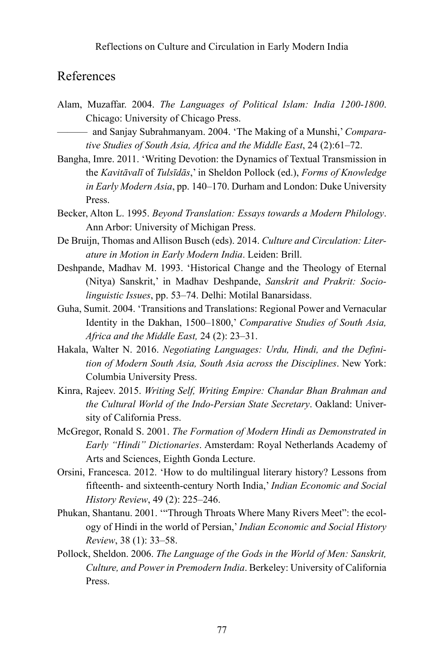# References

Alam, Muzaffar. 2004. *The Languages of Political Islam: India 1200-1800*. Chicago: University of Chicago Press.

——— and Sanjay Subrahmanyam. 2004. 'The Making of a Munshi,' *Comparative Studies of South Asia, Africa and the Middle East*, 24 (2):61–72.

- Bangha, Imre. 2011. 'Writing Devotion: the Dynamics of Textual Transmission in the *Kavitāvalī* of *Tulsīdās*,' in Sheldon Pollock (ed.), *Forms of Knowledge in Early Modern Asia*, pp. 140–170. Durham and London: Duke University Press.
- Becker, Alton L. 1995. *Beyond Translation: Essays towards a Modern Philology*. Ann Arbor: University of Michigan Press.
- De Bruijn, Thomas and Allison Busch (eds). 2014. *Culture and Circulation: Literature in Motion in Early Modern India*. Leiden: Brill.
- Deshpande, Madhav M. 1993. 'Historical Change and the Theology of Eternal (Nitya) Sanskrit,' in Madhav Deshpande, *Sanskrit and Prakrit: Sociolinguistic Issues*, pp. 53–74. Delhi: Motilal Banarsidass.
- Guha, Sumit. 2004. 'Transitions and Translations: Regional Power and Vernacular Identity in the Dakhan, 1500–1800,' *Comparative Studies of South Asia, Africa and the Middle East,* 24 (2): 23–31.
- Hakala, Walter N. 2016. *Negotiating Languages: Urdu, Hindi, and the Definition of Modern South Asia, South Asia across the Disciplines*. New York: Columbia University Press.
- Kinra, Rajeev. 2015. *Writing Self, Writing Empire: Chandar Bhan Brahman and the Cultural World of the Indo-Persian State Secretary*. Oakland: University of California Press.
- McGregor, Ronald S. 2001. *The Formation of Modern Hindi as Demonstrated in Early "Hindi" Dictionaries*. Amsterdam: Royal Netherlands Academy of Arts and Sciences, Eighth Gonda Lecture.
- Orsini, Francesca. 2012. 'How to do multilingual literary history? Lessons from fifteenth- and sixteenth-century North India,' *Indian Economic and Social History Review*, 49 (2): 225–246.
- Phukan, Shantanu. 2001. '"Through Throats Where Many Rivers Meet": the ecology of Hindi in the world of Persian,' *Indian Economic and Social History Review*, 38 (1): 33–58.
- Pollock, Sheldon. 2006. *The Language of the Gods in the World of Men: Sanskrit, Culture, and Power in Premodern India*. Berkeley: University of California Press.